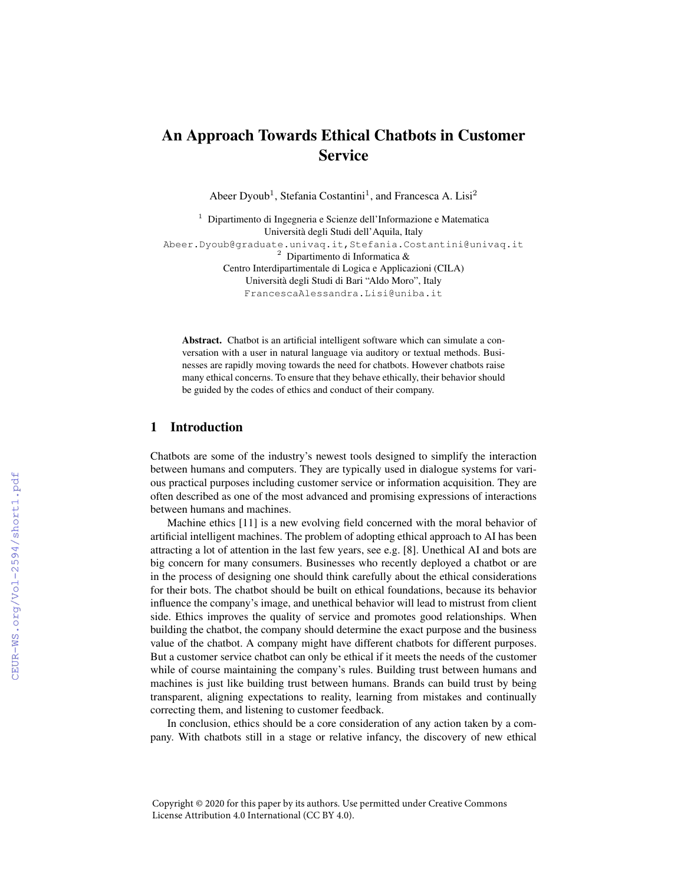# An Approach Towards Ethical Chatbots in Customer **Service**

Abeer Dyoub<sup>1</sup>, Stefania Costantini<sup>1</sup>, and Francesca A. Lisi<sup>2</sup>

```
<sup>1</sup> Dipartimento di Ingegneria e Scienze dell'Informazione e Matematica
                      Universita degli Studi dell'Aquila, Italy `
Abeer.Dyoub@graduate.univaq.it,Stefania.Costantini@univaq.it
                         2 Dipartimento di Informatica &
             Centro Interdipartimentale di Logica e Applicazioni (CILA)
                  Universita degli Studi di Bari "Aldo Moro", Italy `
                  FrancescaAlessandra.Lisi@uniba.it
```
Abstract. Chatbot is an artificial intelligent software which can simulate a conversation with a user in natural language via auditory or textual methods. Businesses are rapidly moving towards the need for chatbots. However chatbots raise many ethical concerns. To ensure that they behave ethically, their behavior should be guided by the codes of ethics and conduct of their company.

#### 1 Introduction

Chatbots are some of the industry's newest tools designed to simplify the interaction between humans and computers. They are typically used in dialogue systems for various practical purposes including customer service or information acquisition. They are often described as one of the most advanced and promising expressions of interactions between humans and machines.

Machine ethics [11] is a new evolving field concerned with the moral behavior of artificial intelligent machines. The problem of adopting ethical approach to AI has been attracting a lot of attention in the last few years, see e.g. [8]. Unethical AI and bots are big concern for many consumers. Businesses who recently deployed a chatbot or are in the process of designing one should think carefully about the ethical considerations for their bots. The chatbot should be built on ethical foundations, because its behavior influence the company's image, and unethical behavior will lead to mistrust from client side. Ethics improves the quality of service and promotes good relationships. When building the chatbot, the company should determine the exact purpose and the business value of the chatbot. A company might have different chatbots for different purposes. But a customer service chatbot can only be ethical if it meets the needs of the customer while of course maintaining the company's rules. Building trust between humans and machines is just like building trust between humans. Brands can build trust by being transparent, aligning expectations to reality, learning from mistakes and continually correcting them, and listening to customer feedback.

In conclusion, ethics should be a core consideration of any action taken by a company. With chatbots still in a stage or relative infancy, the discovery of new ethical

Copyright © 2020 for this paper by its authors. Use permitted under Creative Commons License Attribution 4.0 International (CC BY 4.0).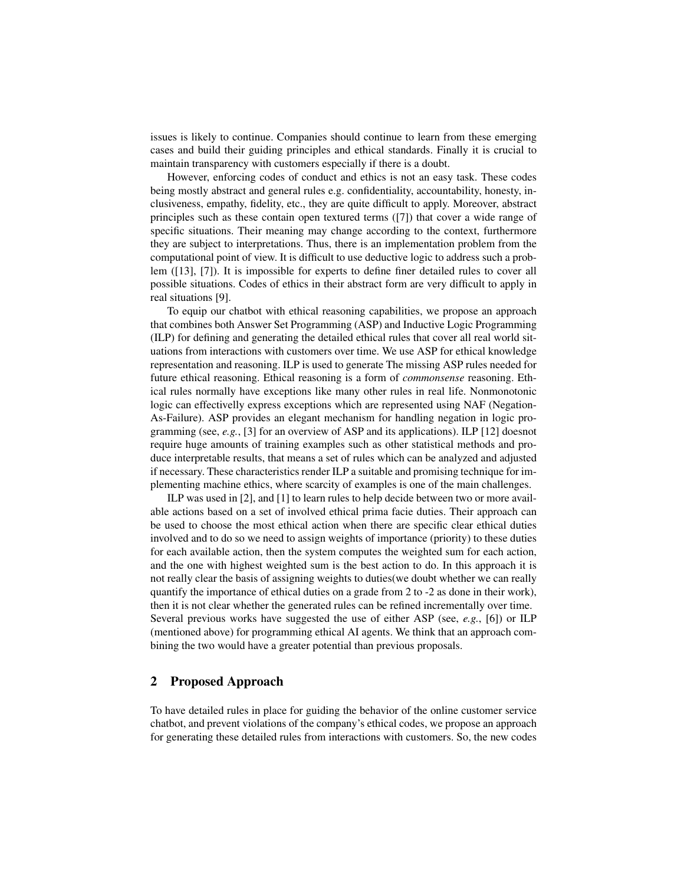issues is likely to continue. Companies should continue to learn from these emerging cases and build their guiding principles and ethical standards. Finally it is crucial to maintain transparency with customers especially if there is a doubt.

However, enforcing codes of conduct and ethics is not an easy task. These codes being mostly abstract and general rules e.g. confidentiality, accountability, honesty, inclusiveness, empathy, fidelity, etc., they are quite difficult to apply. Moreover, abstract principles such as these contain open textured terms ([7]) that cover a wide range of specific situations. Their meaning may change according to the context, furthermore they are subject to interpretations. Thus, there is an implementation problem from the computational point of view. It is difficult to use deductive logic to address such a problem ([13], [7]). It is impossible for experts to define finer detailed rules to cover all possible situations. Codes of ethics in their abstract form are very difficult to apply in real situations [9].

To equip our chatbot with ethical reasoning capabilities, we propose an approach that combines both Answer Set Programming (ASP) and Inductive Logic Programming (ILP) for defining and generating the detailed ethical rules that cover all real world situations from interactions with customers over time. We use ASP for ethical knowledge representation and reasoning. ILP is used to generate The missing ASP rules needed for future ethical reasoning. Ethical reasoning is a form of *commonsense* reasoning. Ethical rules normally have exceptions like many other rules in real life. Nonmonotonic logic can effectivelly express exceptions which are represented using NAF (Negation-As-Failure). ASP provides an elegant mechanism for handling negation in logic programming (see, *e.g.*, [3] for an overview of ASP and its applications). ILP [12] doesnot require huge amounts of training examples such as other statistical methods and produce interpretable results, that means a set of rules which can be analyzed and adjusted if necessary. These characteristics render ILP a suitable and promising technique for implementing machine ethics, where scarcity of examples is one of the main challenges.

ILP was used in [2], and [1] to learn rules to help decide between two or more available actions based on a set of involved ethical prima facie duties. Their approach can be used to choose the most ethical action when there are specific clear ethical duties involved and to do so we need to assign weights of importance (priority) to these duties for each available action, then the system computes the weighted sum for each action, and the one with highest weighted sum is the best action to do. In this approach it is not really clear the basis of assigning weights to duties(we doubt whether we can really quantify the importance of ethical duties on a grade from 2 to -2 as done in their work), then it is not clear whether the generated rules can be refined incrementally over time. Several previous works have suggested the use of either ASP (see, *e.g.*, [6]) or ILP (mentioned above) for programming ethical AI agents. We think that an approach combining the two would have a greater potential than previous proposals.

## 2 Proposed Approach

To have detailed rules in place for guiding the behavior of the online customer service chatbot, and prevent violations of the company's ethical codes, we propose an approach for generating these detailed rules from interactions with customers. So, the new codes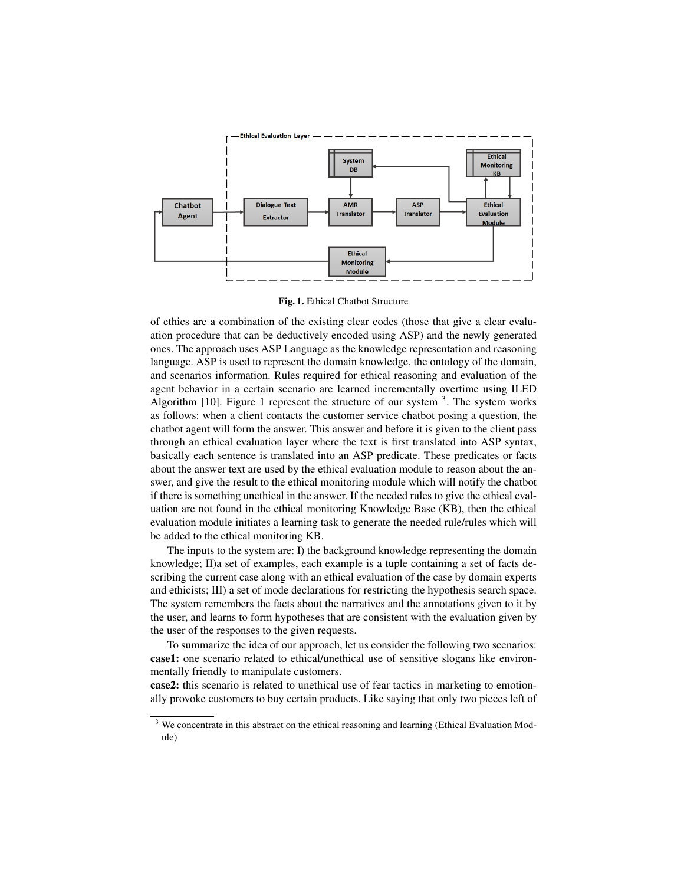

Fig. 1. Ethical Chatbot Structure

of ethics are a combination of the existing clear codes (those that give a clear evaluation procedure that can be deductively encoded using ASP) and the newly generated ones. The approach uses ASP Language as the knowledge representation and reasoning language. ASP is used to represent the domain knowledge, the ontology of the domain, and scenarios information. Rules required for ethical reasoning and evaluation of the agent behavior in a certain scenario are learned incrementally overtime using ILED Algorithm  $[10]$ . Figure 1 represent the structure of our system  $3$ . The system works as follows: when a client contacts the customer service chatbot posing a question, the chatbot agent will form the answer. This answer and before it is given to the client pass through an ethical evaluation layer where the text is first translated into ASP syntax, basically each sentence is translated into an ASP predicate. These predicates or facts about the answer text are used by the ethical evaluation module to reason about the answer, and give the result to the ethical monitoring module which will notify the chatbot if there is something unethical in the answer. If the needed rules to give the ethical evaluation are not found in the ethical monitoring Knowledge Base (KB), then the ethical evaluation module initiates a learning task to generate the needed rule/rules which will be added to the ethical monitoring KB.

The inputs to the system are: I) the background knowledge representing the domain knowledge; II)a set of examples, each example is a tuple containing a set of facts describing the current case along with an ethical evaluation of the case by domain experts and ethicists; III) a set of mode declarations for restricting the hypothesis search space. The system remembers the facts about the narratives and the annotations given to it by the user, and learns to form hypotheses that are consistent with the evaluation given by the user of the responses to the given requests.

To summarize the idea of our approach, let us consider the following two scenarios: case1: one scenario related to ethical/unethical use of sensitive slogans like environmentally friendly to manipulate customers.

case2: this scenario is related to unethical use of fear tactics in marketing to emotionally provoke customers to buy certain products. Like saying that only two pieces left of

<sup>&</sup>lt;sup>3</sup> We concentrate in this abstract on the ethical reasoning and learning (Ethical Evaluation Module)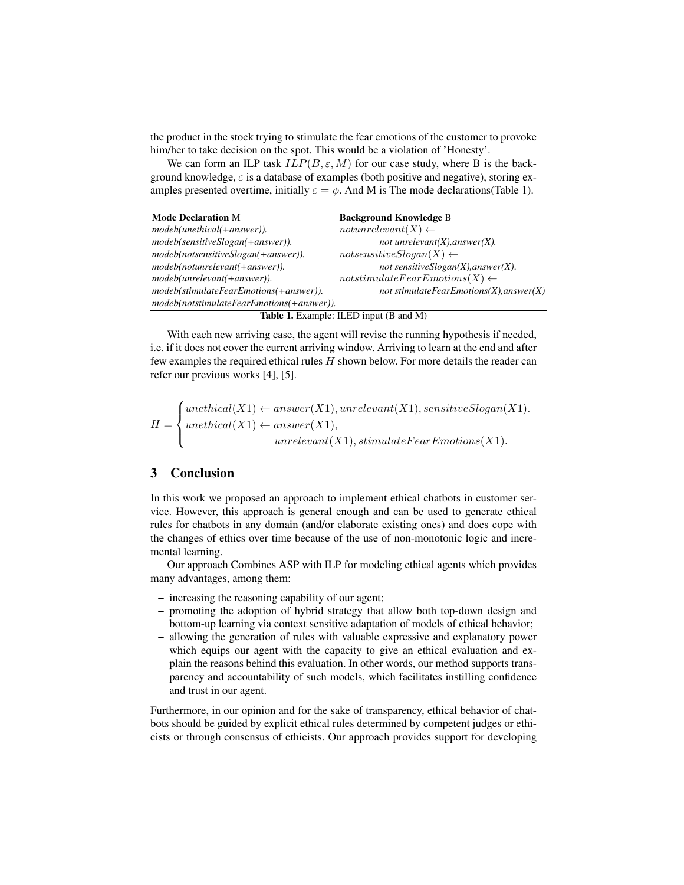the product in the stock trying to stimulate the fear emotions of the customer to provoke him/her to take decision on the spot. This would be a violation of 'Honesty'.

We can form an ILP task  $ILP(B, \varepsilon, M)$  for our case study, where B is the background knowledge,  $\varepsilon$  is a database of examples (both positive and negative), storing examples presented overtime, initially  $\varepsilon = \phi$ . And M is The mode declarations(Table 1).

| <b>Mode Declaration M</b>                 | <b>Background Knowledge B</b>              |
|-------------------------------------------|--------------------------------------------|
| modeh(unethical(+answer)).                | $not$ unrelevant $(X) \leftarrow$          |
| modeb(sensitiveSlogan(+answer)).          | not unrelevant $(X)$ , answer $(X)$ .      |
| modeb(notsensitiveSlogan(+answer)).       | $not sensitiveSlogan(X) \leftarrow$        |
| modeb(notunrelevant(+answer)).            | not sensitive $Slogan(X)$ , answer $(X)$ . |
| modeb(unrelevant(+answer)).               | $notstimulate FearEmotions(X) \leftarrow$  |
| modeb(stimulateFearEmotions(+answer)).    | not stimulateFearEmotions(X), answer(X)    |
| modeb(notstimulateFearEmotions(+answer)). |                                            |

Table 1. Example: ILED input (B and M)

With each new arriving case, the agent will revise the running hypothesis if needed, i.e. if it does not cover the current arriving window. Arriving to learn at the end and after few examples the required ethical rules  $H$  shown below. For more details the reader can refer our previous works [4], [5].

$$
H = \begin{cases} \text{unethical}(X1) \leftarrow \text{answer}(X1), \text{unrelevant}(X1), \text{sensitiveSlogen}(X1).\\ \text{unethical}(X1) \leftarrow \text{answer}(X1),\\ \text{unrelevant}(X1), \text{stimulateFearEmotions}(X1). \end{cases}
$$

## 3 Conclusion

In this work we proposed an approach to implement ethical chatbots in customer service. However, this approach is general enough and can be used to generate ethical rules for chatbots in any domain (and/or elaborate existing ones) and does cope with the changes of ethics over time because of the use of non-monotonic logic and incremental learning.

Our approach Combines ASP with ILP for modeling ethical agents which provides many advantages, among them:

- increasing the reasoning capability of our agent;
- promoting the adoption of hybrid strategy that allow both top-down design and bottom-up learning via context sensitive adaptation of models of ethical behavior;
- allowing the generation of rules with valuable expressive and explanatory power which equips our agent with the capacity to give an ethical evaluation and explain the reasons behind this evaluation. In other words, our method supports transparency and accountability of such models, which facilitates instilling confidence and trust in our agent.

Furthermore, in our opinion and for the sake of transparency, ethical behavior of chatbots should be guided by explicit ethical rules determined by competent judges or ethicists or through consensus of ethicists. Our approach provides support for developing